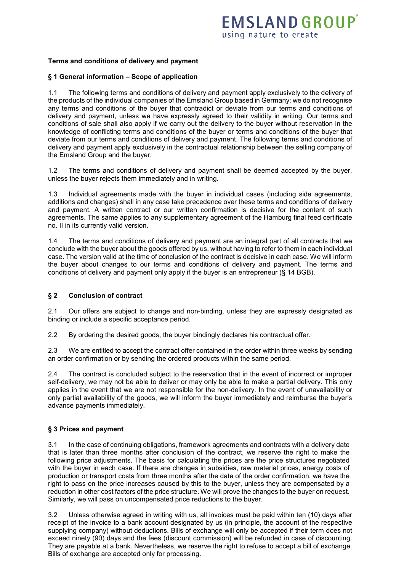## **Terms and conditions of delivery and payment**

### **§ 1 General information – Scope of application**

1.1 The following terms and conditions of delivery and payment apply exclusively to the delivery of the products of the individual companies of the Emsland Group based in Germany; we do not recognise any terms and conditions of the buyer that contradict or deviate from our terms and conditions of delivery and payment, unless we have expressly agreed to their validity in writing. Our terms and conditions of sale shall also apply if we carry out the delivery to the buyer without reservation in the knowledge of conflicting terms and conditions of the buyer or terms and conditions of the buyer that deviate from our terms and conditions of delivery and payment. The following terms and conditions of delivery and payment apply exclusively in the contractual relationship between the selling company of the Emsland Group and the buyer.

1.2 The terms and conditions of delivery and payment shall be deemed accepted by the buyer, unless the buyer rejects them immediately and in writing.

1.3 Individual agreements made with the buyer in individual cases (including side agreements, additions and changes) shall in any case take precedence over these terms and conditions of delivery and payment. A written contract or our written confirmation is decisive for the content of such agreements. The same applies to any supplementary agreement of the Hamburg final feed certificate no. II in its currently valid version.

1.4 The terms and conditions of delivery and payment are an integral part of all contracts that we conclude with the buyer about the goods offered by us, without having to refer to them in each individual case. The version valid at the time of conclusion of the contract is decisive in each case. We will inform the buyer about changes to our terms and conditions of delivery and payment. The terms and conditions of delivery and payment only apply if the buyer is an entrepreneur (§ 14 BGB).

#### **§ 2 Conclusion of contract**

2.1 Our offers are subject to change and non-binding, unless they are expressly designated as binding or include a specific acceptance period.

2.2 By ordering the desired goods, the buyer bindingly declares his contractual offer.

2.3 We are entitled to accept the contract offer contained in the order within three weeks by sending an order confirmation or by sending the ordered products within the same period.

2.4 The contract is concluded subject to the reservation that in the event of incorrect or improper self-delivery, we may not be able to deliver or may only be able to make a partial delivery. This only applies in the event that we are not responsible for the non-delivery. In the event of unavailability or only partial availability of the goods, we will inform the buyer immediately and reimburse the buyer's advance payments immediately.

## **§ 3 Prices and payment**

3.1 In the case of continuing obligations, framework agreements and contracts with a delivery date that is later than three months after conclusion of the contract, we reserve the right to make the following price adjustments. The basis for calculating the prices are the price structures negotiated with the buyer in each case. If there are changes in subsidies, raw material prices, energy costs of production or transport costs from three months after the date of the order confirmation, we have the right to pass on the price increases caused by this to the buyer, unless they are compensated by a reduction in other cost factors of the price structure. We will prove the changes to the buyer on request. Similarly, we will pass on uncompensated price reductions to the buyer.

3.2 Unless otherwise agreed in writing with us, all invoices must be paid within ten (10) days after receipt of the invoice to a bank account designated by us (in principle, the account of the respective supplying company) without deductions. Bills of exchange will only be accepted if their term does not exceed ninety (90) days and the fees (discount commission) will be refunded in case of discounting. They are payable at a bank. Nevertheless, we reserve the right to refuse to accept a bill of exchange. Bills of exchange are accepted only for processing.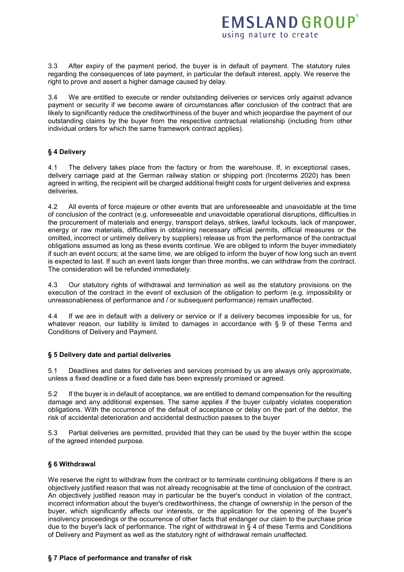3.3 After expiry of the payment period, the buyer is in default of payment. The statutory rules regarding the consequences of late payment, in particular the default interest, apply. We reserve the right to prove and assert a higher damage caused by delay.

3.4 We are entitled to execute or render outstanding deliveries or services only against advance payment or security if we become aware of circumstances after conclusion of the contract that are likely to significantly reduce the creditworthiness of the buyer and which jeopardise the payment of our outstanding claims by the buyer from the respective contractual relationship (including from other individual orders for which the same framework contract applies).

## **§ 4 Delivery**

The delivery takes place from the factory or from the warehouse. If, in exceptional cases, delivery carriage paid at the German railway station or shipping port (Incoterms 2020) has been agreed in writing, the recipient will be charged additional freight costs for urgent deliveries and express deliveries.

4.2 All events of force majeure or other events that are unforeseeable and unavoidable at the time of conclusion of the contract (e.g. unforeseeable and unavoidable operational disruptions, difficulties in the procurement of materials and energy, transport delays, strikes, lawful lockouts, lack of manpower, energy or raw materials, difficulties in obtaining necessary official permits, official measures or the omitted, incorrect or untimely delivery by suppliers) release us from the performance of the contractual obligations assumed as long as these events continue. We are obliged to inform the buyer immediately if such an event occurs; at the same time, we are obliged to inform the buyer of how long such an event is expected to last. If such an event lasts longer than three months, we can withdraw from the contract. The consideration will be refunded immediately.

4.3 Our statutory rights of withdrawal and termination as well as the statutory provisions on the execution of the contract in the event of exclusion of the obligation to perform (e.g. impossibility or unreasonableness of performance and / or subsequent performance) remain unaffected.

4.4 If we are in default with a delivery or service or if a delivery becomes impossible for us, for whatever reason, our liability is limited to damages in accordance with § 9 of these Terms and Conditions of Delivery and Payment.

#### **§ 5 Delivery date and partial deliveries**

5.1 Deadlines and dates for deliveries and services promised by us are always only approximate, unless a fixed deadline or a fixed date has been expressly promised or agreed.

5.2 If the buyer is in default of acceptance, we are entitled to demand compensation for the resulting damage and any additional expenses. The same applies if the buyer culpably violates cooperation obligations. With the occurrence of the default of acceptance or delay on the part of the debtor, the risk of accidental deterioration and accidental destruction passes to the buyer

5.3 Partial deliveries are permitted, provided that they can be used by the buyer within the scope of the agreed intended purpose.

#### **§ 6 Withdrawal**

We reserve the right to withdraw from the contract or to terminate continuing obligations if there is an objectively justified reason that was not already recognisable at the time of conclusion of the contract. An objectively justified reason may in particular be the buyer's conduct in violation of the contract, incorrect information about the buyer's creditworthiness, the change of ownership in the person of the buyer, which significantly affects our interests, or the application for the opening of the buyer's insolvency proceedings or the occurrence of other facts that endanger our claim to the purchase price due to the buyer's lack of performance. The right of withdrawal in § 4 of these Terms and Conditions of Delivery and Payment as well as the statutory right of withdrawal remain unaffected.

#### **§ 7 Place of performance and transfer of risk**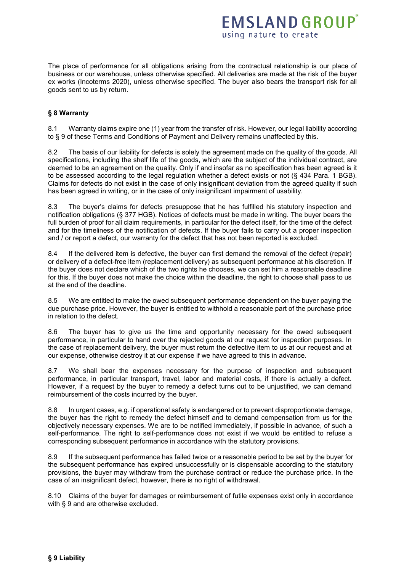The place of performance for all obligations arising from the contractual relationship is our place of business or our warehouse, unless otherwise specified. All deliveries are made at the risk of the buyer ex works (Incoterms 2020), unless otherwise specified. The buyer also bears the transport risk for all goods sent to us by return.

# **§ 8 Warranty**

8.1 Warranty claims expire one (1) year from the transfer of risk. However, our legal liability according to § 9 of these Terms and Conditions of Payment and Delivery remains unaffected by this.

8.2 The basis of our liability for defects is solely the agreement made on the quality of the goods. All specifications, including the shelf life of the goods, which are the subject of the individual contract, are deemed to be an agreement on the quality. Only if and insofar as no specification has been agreed is it to be assessed according to the legal regulation whether a defect exists or not (§ 434 Para. 1 BGB). Claims for defects do not exist in the case of only insignificant deviation from the agreed quality if such has been agreed in writing, or in the case of only insignificant impairment of usability.

8.3 The buyer's claims for defects presuppose that he has fulfilled his statutory inspection and notification obligations (§ 377 HGB). Notices of defects must be made in writing. The buyer bears the full burden of proof for all claim requirements, in particular for the defect itself, for the time of the defect and for the timeliness of the notification of defects. If the buyer fails to carry out a proper inspection and / or report a defect, our warranty for the defect that has not been reported is excluded.

8.4 If the delivered item is defective, the buyer can first demand the removal of the defect (repair) or delivery of a defect-free item (replacement delivery) as subsequent performance at his discretion. If the buyer does not declare which of the two rights he chooses, we can set him a reasonable deadline for this. If the buyer does not make the choice within the deadline, the right to choose shall pass to us at the end of the deadline.

8.5 We are entitled to make the owed subsequent performance dependent on the buyer paying the due purchase price. However, the buyer is entitled to withhold a reasonable part of the purchase price in relation to the defect.

8.6 The buyer has to give us the time and opportunity necessary for the owed subsequent performance, in particular to hand over the rejected goods at our request for inspection purposes. In the case of replacement delivery, the buyer must return the defective item to us at our request and at our expense, otherwise destroy it at our expense if we have agreed to this in advance.

8.7 We shall bear the expenses necessary for the purpose of inspection and subsequent performance, in particular transport, travel, labor and material costs, if there is actually a defect. However, if a request by the buyer to remedy a defect turns out to be unjustified, we can demand reimbursement of the costs incurred by the buyer.

8.8 In urgent cases, e.g. if operational safety is endangered or to prevent disproportionate damage, the buyer has the right to remedy the defect himself and to demand compensation from us for the objectively necessary expenses. We are to be notified immediately, if possible in advance, of such a self-performance. The right to self-performance does not exist if we would be entitled to refuse a corresponding subsequent performance in accordance with the statutory provisions.

8.9 If the subsequent performance has failed twice or a reasonable period to be set by the buyer for the subsequent performance has expired unsuccessfully or is dispensable according to the statutory provisions, the buyer may withdraw from the purchase contract or reduce the purchase price. In the case of an insignificant defect, however, there is no right of withdrawal.

8.10 Claims of the buyer for damages or reimbursement of futile expenses exist only in accordance with § 9 and are otherwise excluded.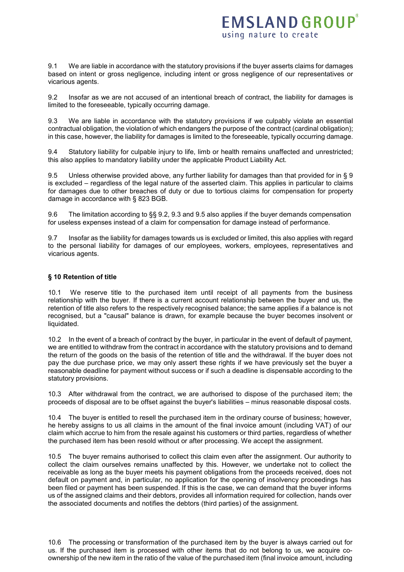9.1 We are liable in accordance with the statutory provisions if the buyer asserts claims for damages based on intent or gross negligence, including intent or gross negligence of our representatives or vicarious agents.

9.2 Insofar as we are not accused of an intentional breach of contract, the liability for damages is limited to the foreseeable, typically occurring damage.

9.3 We are liable in accordance with the statutory provisions if we culpably violate an essential contractual obligation, the violation of which endangers the purpose of the contract (cardinal obligation); in this case, however, the liability for damages is limited to the foreseeable, typically occurring damage.

9.4 Statutory liability for culpable injury to life, limb or health remains unaffected and unrestricted; this also applies to mandatory liability under the applicable Product Liability Act.

9.5 Unless otherwise provided above, any further liability for damages than that provided for in § 9 is excluded – regardless of the legal nature of the asserted claim. This applies in particular to claims for damages due to other breaches of duty or due to tortious claims for compensation for property damage in accordance with § 823 BGB.

9.6 The limitation according to §§ 9.2, 9.3 and 9.5 also applies if the buyer demands compensation for useless expenses instead of a claim for compensation for damage instead of performance.

9.7 Insofar as the liability for damages towards us is excluded or limited, this also applies with regard to the personal liability for damages of our employees, workers, employees, representatives and vicarious agents.

### **§ 10 Retention of title**

10.1 We reserve title to the purchased item until receipt of all payments from the business relationship with the buyer. If there is a current account relationship between the buyer and us, the retention of title also refers to the respectively recognised balance; the same applies if a balance is not recognised, but a "causal" balance is drawn, for example because the buyer becomes insolvent or liquidated.

10.2 In the event of a breach of contract by the buyer, in particular in the event of default of payment, we are entitled to withdraw from the contract in accordance with the statutory provisions and to demand the return of the goods on the basis of the retention of title and the withdrawal. If the buyer does not pay the due purchase price, we may only assert these rights if we have previously set the buyer a reasonable deadline for payment without success or if such a deadline is dispensable according to the statutory provisions.

10.3 After withdrawal from the contract, we are authorised to dispose of the purchased item; the proceeds of disposal are to be offset against the buyer's liabilities – minus reasonable disposal costs.

10.4 The buyer is entitled to resell the purchased item in the ordinary course of business; however, he hereby assigns to us all claims in the amount of the final invoice amount (including VAT) of our claim which accrue to him from the resale against his customers or third parties, regardless of whether the purchased item has been resold without or after processing. We accept the assignment.

10.5 The buyer remains authorised to collect this claim even after the assignment. Our authority to collect the claim ourselves remains unaffected by this. However, we undertake not to collect the receivable as long as the buyer meets his payment obligations from the proceeds received, does not default on payment and, in particular, no application for the opening of insolvency proceedings has been filed or payment has been suspended. If this is the case, we can demand that the buyer informs us of the assigned claims and their debtors, provides all information required for collection, hands over the associated documents and notifies the debtors (third parties) of the assignment.

10.6 The processing or transformation of the purchased item by the buyer is always carried out for us. If the purchased item is processed with other items that do not belong to us, we acquire coownership of the new item in the ratio of the value of the purchased item (final invoice amount, including